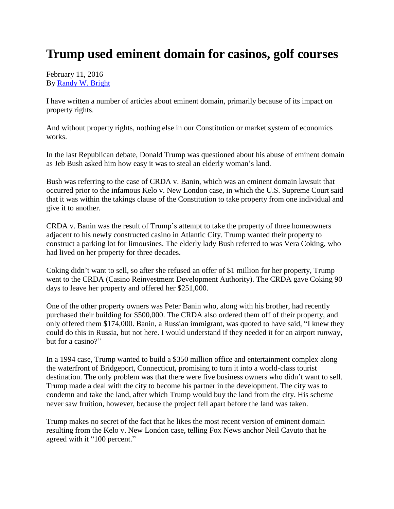## **Trump used eminent domain for casinos, golf courses**

February 11, 2016 By [Randy W. Bright](http://www.tulsabeacon.com/author/slug-o6yd1v)

I have written a number of articles about eminent domain, primarily because of its impact on property rights.

And without property rights, nothing else in our Constitution or market system of economics works.

In the last Republican debate, Donald Trump was questioned about his abuse of eminent domain as Jeb Bush asked him how easy it was to steal an elderly woman's land.

Bush was referring to the case of CRDA v. Banin, which was an eminent domain lawsuit that occurred prior to the infamous Kelo v. New London case, in which the U.S. Supreme Court said that it was within the takings clause of the Constitution to take property from one individual and give it to another.

CRDA v. Banin was the result of Trump's attempt to take the property of three homeowners adjacent to his newly constructed casino in Atlantic City. Trump wanted their property to construct a parking lot for limousines. The elderly lady Bush referred to was Vera Coking, who had lived on her property for three decades.

Coking didn't want to sell, so after she refused an offer of \$1 million for her property, Trump went to the CRDA (Casino Reinvestment Development Authority). The CRDA gave Coking 90 days to leave her property and offered her \$251,000.

One of the other property owners was Peter Banin who, along with his brother, had recently purchased their building for \$500,000. The CRDA also ordered them off of their property, and only offered them \$174,000. Banin, a Russian immigrant, was quoted to have said, "I knew they could do this in Russia, but not here. I would understand if they needed it for an airport runway, but for a casino?"

In a 1994 case, Trump wanted to build a \$350 million office and entertainment complex along the waterfront of Bridgeport, Connecticut, promising to turn it into a world-class tourist destination. The only problem was that there were five business owners who didn't want to sell. Trump made a deal with the city to become his partner in the development. The city was to condemn and take the land, after which Trump would buy the land from the city. His scheme never saw fruition, however, because the project fell apart before the land was taken.

Trump makes no secret of the fact that he likes the most recent version of eminent domain resulting from the Kelo v. New London case, telling Fox News anchor Neil Cavuto that he agreed with it "100 percent."